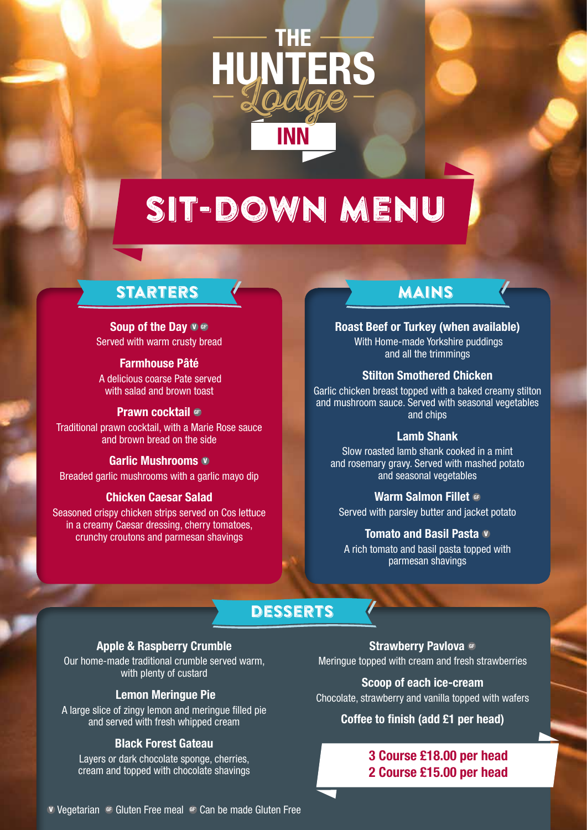

# SIT-DOWN MENU

### starters

### **Soup of the Day**  $\mathbf{V} \in \mathbb{R}$

Served with warm crusty bread

### **Farmhouse Pâté**

 A delicious coarse Pate served with salad and brown toast

### **Prawn cocktail GF**

Traditional prawn cocktail, with a Marie Rose sauce and brown bread on the side

### **Garlic Mushrooms v**

Breaded garlic mushrooms with a garlic mayo dip

### **Chicken Caesar Salad**

Seasoned crispy chicken strips served on Cos lettuce in a creamy Caesar dressing, cherry tomatoes, crunchy croutons and parmesan shavings

### mains

### **Roast Beef or Turkey (when available)**

 With Home-made Yorkshire puddings and all the trimmings

### **Stilton Smothered Chicken**

Garlic chicken breast topped with a baked creamy stilton and mushroom sauce. Served with seasonal vegetables and chips

#### **Lamb Shank**

Slow roasted lamb shank cooked in a mint and rosemary gravy. Served with mashed potato and seasonal vegetables

### **Warm Salmon Fillet GF**

Served with parsley butter and jacket potato

#### **Tomato and Basil Pasta v**

A rich tomato and basil pasta topped with parmesan shavings

### desserts

### **Apple & Raspberry Crumble**

Our home-made traditional crumble served warm, with plenty of custard

### **Lemon Meringue Pie**

A large slice of zingy lemon and meringue filled pie and served with fresh whipped cream

#### **Black Forest Gateau**

Layers or dark chocolate sponge, cherries, cream and topped with chocolate shavings

**Strawberry Pavlova GF** Meringue topped with cream and fresh strawberries

**Scoop of each ice-cream** Chocolate, strawberry and vanilla topped with wafers

### **Coffee to finish (add £1 per head)**

### **3 Course £18.00 per head 2 Course £15.00 per head**

**v** Vegetarian GF Gluten Free meal GF Can be made Gluten Free